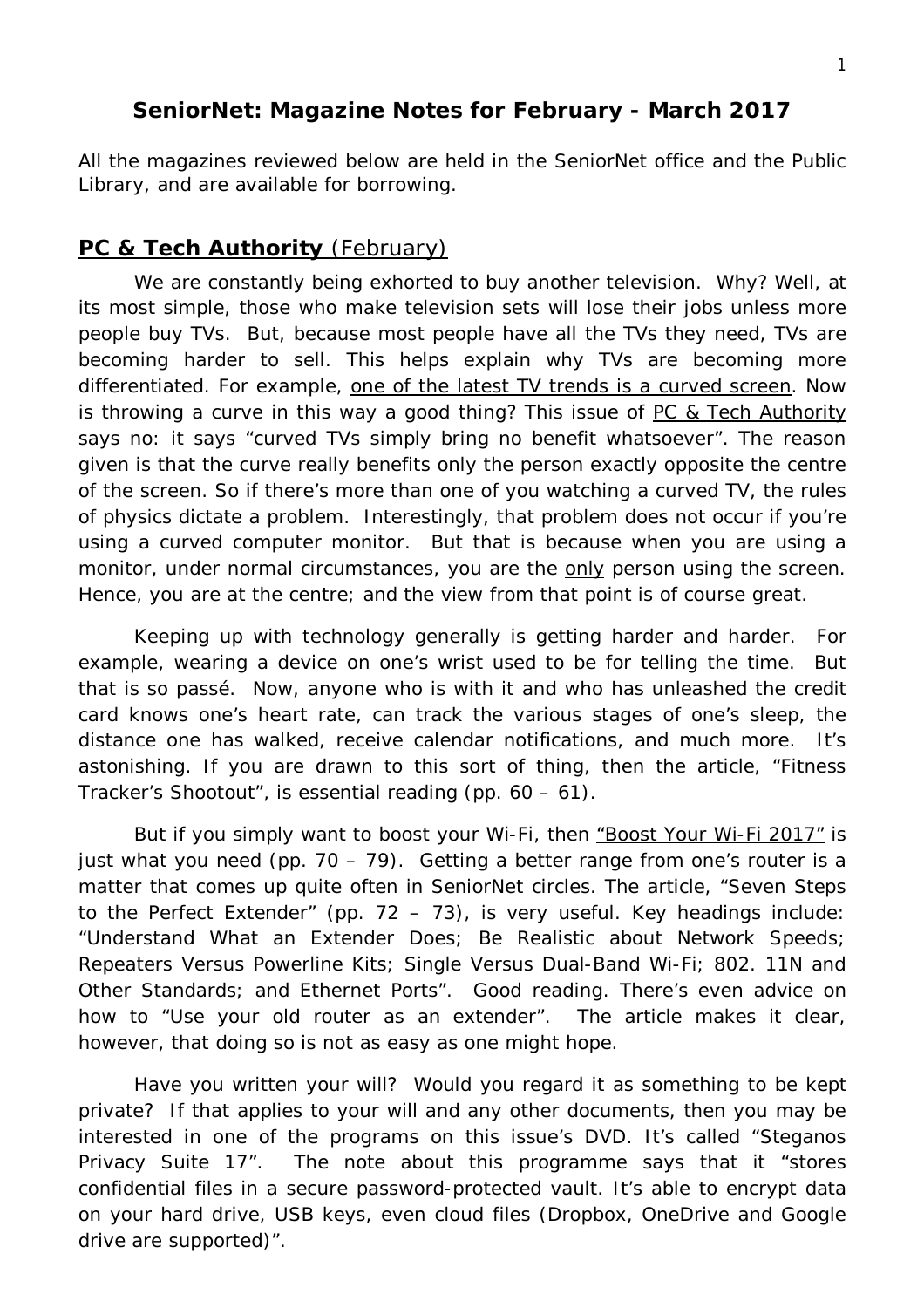#### **SeniorNet: Magazine Notes for February - March 2017**

All the magazines reviewed below are held in the SeniorNet office and the Public Library, and are available for borrowing.

### **PC & Tech Authority** (February)

We are constantly being exhorted to buy another television. Why? Well, at its most simple, those who make television sets will lose their jobs unless more people buy TVs. But, because most people have all the TVs they need, TVs are becoming harder to sell. This helps explain why TVs are becoming more differentiated. For example, one of the latest TV trends is a curved screen. Now is throwing a curve in this way a good thing? This issue of PC & Tech Authority says no: it says "curved TVs simply bring no benefit whatsoever". The reason given is that the curve really benefits only the person exactly opposite the centre of the screen. So if there's more than one of you watching a curved TV, the rules of physics dictate a problem. Interestingly, that problem does not occur if you're using a curved computer monitor. But that is because when you are using a monitor, under normal circumstances, you are the only person using the screen. Hence, you are at the centre; and the view from that point is of course great.

Keeping up with technology generally is getting harder and harder. For example, wearing a device on one's wrist used to be for telling the time. But that is so passé. Now, anyone who is with it and who has unleashed the credit card knows one's heart rate, can track the various stages of one's sleep, the distance one has walked, receive calendar notifications, and much more. It's astonishing. If you are drawn to this sort of thing, then the article, "Fitness Tracker's Shootout", is essential reading (pp. 60 – 61).

But if you simply want to boost your Wi-Fi, then "Boost Your Wi-Fi 2017" is just what you need (pp.  $70 - 79$ ). Getting a better range from one's router is a matter that comes up quite often in SeniorNet circles. The article, "Seven Steps to the Perfect Extender" (pp.  $72 - 73$ ), is very useful. Key headings include: "Understand What an Extender Does; Be Realistic about Network Speeds; Repeaters Versus Powerline Kits; Single Versus Dual-Band Wi-Fi; 802. 11N and Other Standards; and Ethernet Ports". Good reading. There's even advice on how to "Use your old router as an extender". The article makes it clear, however, that doing so is not as easy as one might hope.

Have you written your will? Would you regard it as something to be kept private? If that applies to your will and any other documents, then you may be interested in one of the programs on this issue's DVD. It's called "Steganos Privacy Suite 17". The note about this programme says that it "stores confidential files in a secure password-protected vault. It's able to encrypt data on your hard drive, USB keys, even cloud files (Dropbox, OneDrive and Google drive are supported)".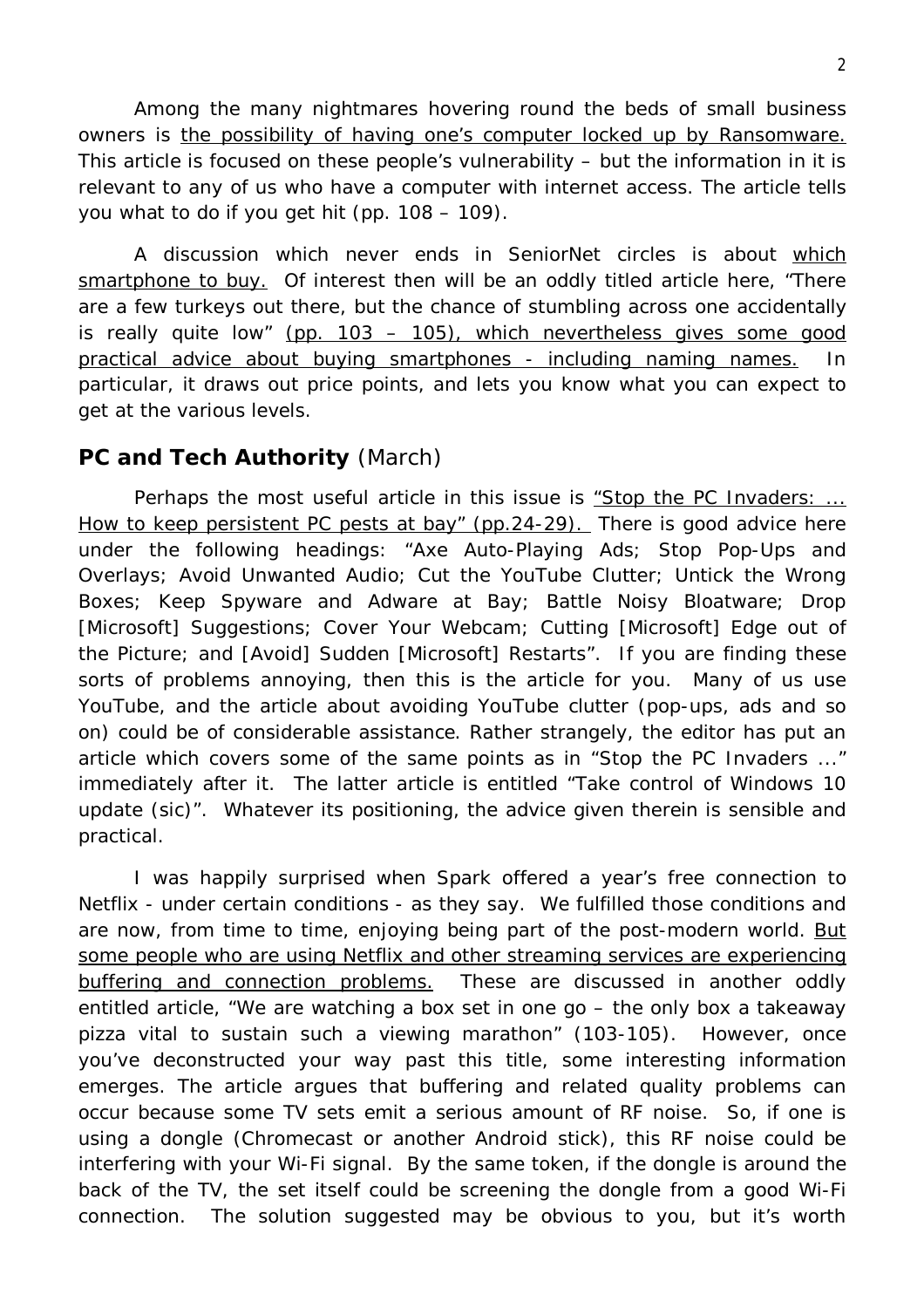Among the many nightmares hovering round the beds of small business owners is the possibility of having one's computer locked up by Ransomware. This article is focused on these people's vulnerability – but the information in it is relevant to any of us who have a computer with internet access. The article tells you what to do if you get hit (pp. 108 – 109).

A discussion which never ends in SeniorNet circles is about which smartphone to buy. Of interest then will be an oddly titled article here, "There are a few turkeys out there, but the chance of stumbling across one accidentally is really quite low" (pp. 103 – 105), which nevertheless gives some good practical advice about buying smartphones - including naming names. In particular, it draws out price points, and lets you know what you can expect to get at the various levels.

### **PC and Tech Authority** (March)

Perhaps the most useful article in this issue is "Stop the PC Invaders: ... How to keep persistent PC pests at bay" (pp.24-29). There is good advice here under the following headings: "Axe Auto-Playing Ads; Stop Pop-Ups and Overlays; Avoid Unwanted Audio; Cut the YouTube Clutter; Untick the Wrong Boxes; Keep Spyware and Adware at Bay; Battle Noisy Bloatware; Drop [Microsoft] Suggestions; Cover Your Webcam; Cutting [Microsoft] Edge out of the Picture; and [Avoid] Sudden [Microsoft] Restarts". If you are finding these sorts of problems annoying, then this is the article for you. Many of us use YouTube, and the article about avoiding YouTube clutter (pop-ups, ads and so on) could be of considerable assistance. Rather strangely, the editor has put an article which covers some of the same points as in "Stop the PC Invaders ..." immediately after it. The latter article is entitled "Take control of Windows 10 update (sic)". Whatever its positioning, the advice given therein is sensible and practical.

I was happily surprised when Spark offered a year's free connection to Netflix - under certain conditions - as they say. We fulfilled those conditions and are now, from time to time, enjoying being part of the post-modern world. But some people who are using Netflix and other streaming services are experiencing buffering and connection problems. These are discussed in another oddly entitled article, "We are watching a box set in one go – the only box a takeaway pizza vital to sustain such a viewing marathon" (103-105). However, once you've deconstructed your way past this title, some interesting information emerges. The article argues that buffering and related quality problems can occur because some TV sets emit a serious amount of RF noise. So, if one is using a dongle (Chromecast or another Android stick), this RF noise could be interfering with your Wi-Fi signal. By the same token, if the dongle is around the back of the TV, the set itself could be screening the dongle from a good Wi-Fi connection. The solution suggested may be obvious to you, but it's worth